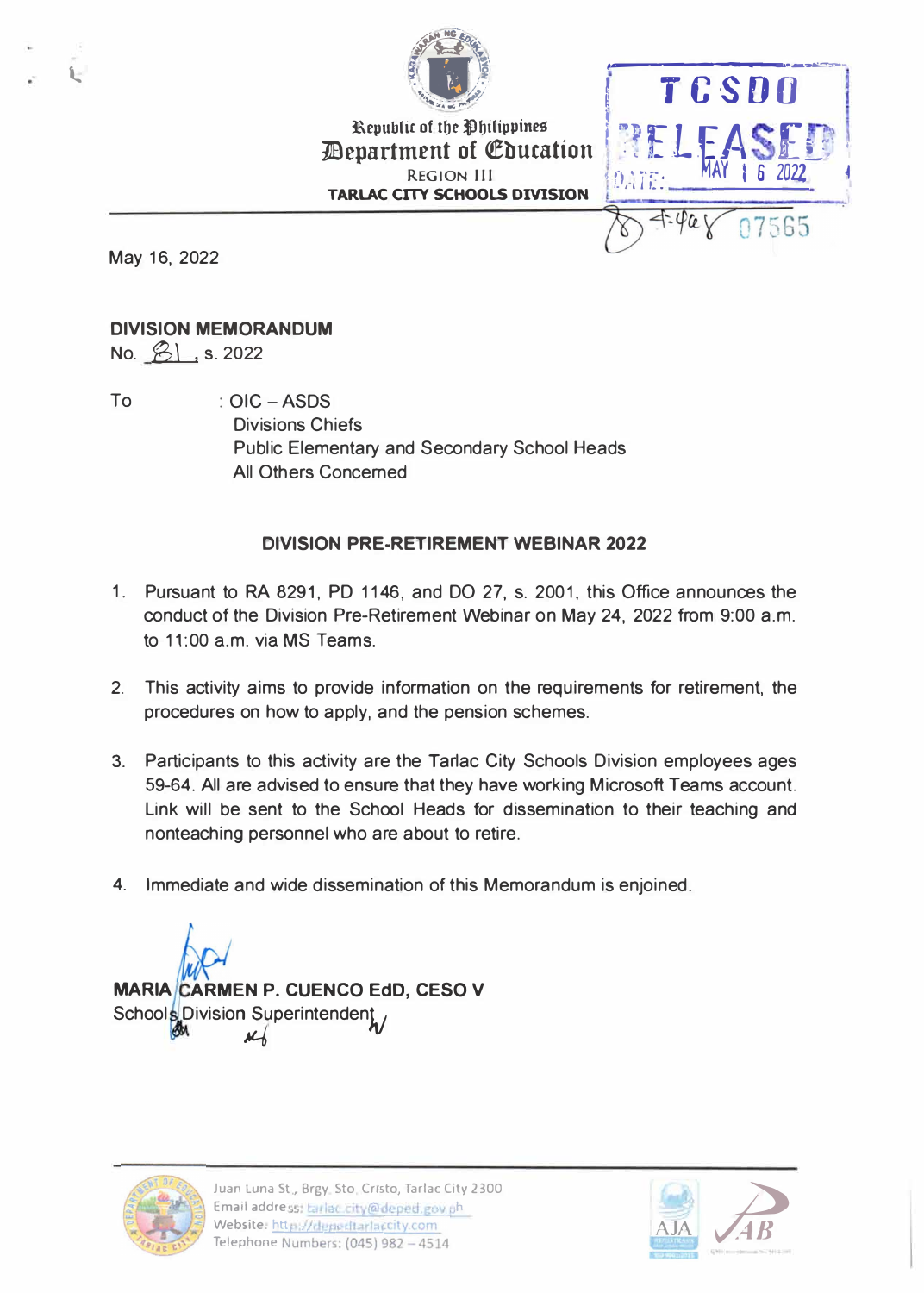

**ACCES**<br> **Republic of the Philippines** *<u>Bepartment of Education</u>* **REGION 111 TARLAC CITY SCHOOLS DIVISION** 

**•** 0,. 1  $\left\langle \tilde{I}^{\pi}_{L}\right\rangle$ 

 $\overline{\varphi_{\alpha}}$ 

AY 1 6 2022. �



t..

## **DIVISION MEMORANDUM**

No. *B\* , s. <sup>2022</sup>

To : OIC - ASDS Divisions Chiefs Public Elementary and Secondary School Heads All Others Concerned

## **DIVISION PRE-RETIREMENT WEBINAR 2022**

- 1. Pursuant to RA 8291, PD 1146, and DO 27, s. 2001, this Office announces the conduct of the Division Pre-Retirement Webinar on May 24, 2022 from 9:00 a.m. to 11:00 a.m. via MS Teams.
- 2. This activity aims to provide information on the requirements for retirement, the procedures on how to apply, and the pension schemes.
- 3. Participants to this activity are the Tarlac City Schools Division employees ages 59-64. All are advised to ensure that they have working Microsoft Teams account. Link will be sent to the School Heads for dissemination to their teaching and nonteaching personnel who are about to retire.
- 4. Immediate and wide dissemination of this Memorandum is enjoined.

**MARIA CARMEN P. CUENCO EdD, CESO V** Schools Division Superintendent